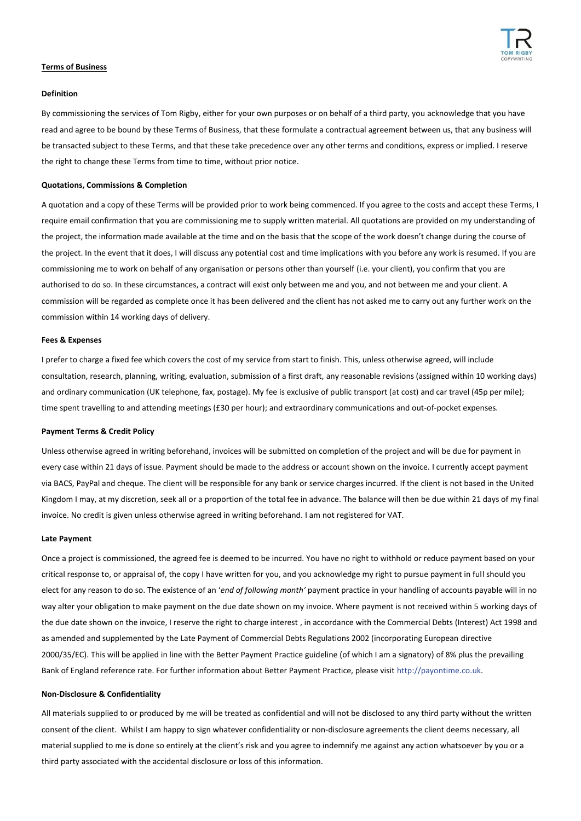

# **Terms of Business**

## **Definition**

By commissioning the services of Tom Rigby, either for your own purposes or on behalf of a third party, you acknowledge that you have read and agree to be bound by these Terms of Business, that these formulate a contractual agreement between us, that any business will be transacted subject to these Terms, and that these take precedence over any other terms and conditions, express or implied. I reserve the right to change these Terms from time to time, without prior notice.

# **Quotations, Commissions & Completion**

A quotation and a copy of these Terms will be provided prior to work being commenced. If you agree to the costs and accept these Terms, I require email confirmation that you are commissioning me to supply written material. All quotations are provided on my understanding of the project, the information made available at the time and on the basis that the scope of the work doesn't change during the course of the project. In the event that it does, I will discuss any potential cost and time implications with you before any work is resumed. If you are commissioning me to work on behalf of any organisation or persons other than yourself (i.e. your client), you confirm that you are authorised to do so. In these circumstances, a contract will exist only between me and you, and not between me and your client. A commission will be regarded as complete once it has been delivered and the client has not asked me to carry out any further work on the commission within 14 working days of delivery.

# **Fees & Expenses**

I prefer to charge a fixed fee which covers the cost of my service from start to finish. This, unless otherwise agreed, will include consultation, research, planning, writing, evaluation, submission of a first draft, any reasonable revisions (assigned within 10 working days) and ordinary communication (UK telephone, fax, postage). My fee is exclusive of public transport (at cost) and car travel (45p per mile); time spent travelling to and attending meetings (£30 per hour); and extraordinary communications and out-of-pocket expenses.

### **Payment Terms & Credit Policy**

Unless otherwise agreed in writing beforehand, invoices will be submitted on completion of the project and will be due for payment in every case within 21 days of issue. Payment should be made to the address or account shown on the invoice. I currently accept payment via BACS, PayPal and cheque. The client will be responsible for any bank or service charges incurred. If the client is not based in the United Kingdom I may, at my discretion, seek all or a proportion of the total fee in advance. The balance will then be due within 21 days of my final invoice. No credit is given unless otherwise agreed in writing beforehand. I am not registered for VAT.

### **Late Payment**

Once a project is commissioned, the agreed fee is deemed to be incurred. You have no right to withhold or reduce payment based on your critical response to, or appraisal of, the copy I have written for you, and you acknowledge my right to pursue payment in full should you elect for any reason to do so. The existence of an '*end of following month'* payment practice in your handling of accounts payable will in no way alter your obligation to make payment on the due date shown on my invoice. Where payment is not received within 5 working days of the due date shown on the invoice, I reserve the right to charge interest , in accordance with the Commercial Debts (Interest) Act 1998 and as amended and supplemented by the Late Payment of Commercial Debts Regulations 2002 (incorporating European directive 2000/35/EC). This will be applied in line with the Better Payment Practice guideline (of which I am a signatory) of 8% plus the prevailing Bank of England reference rate. For further information about Better Payment Practice, please visi[t http://payontime.co.uk.](http://payontime.co.uk/)

#### **Non-Disclosure & Confidentiality**

All materials supplied to or produced by me will be treated as confidential and will not be disclosed to any third party without the written consent of the client. Whilst I am happy to sign whatever confidentiality or non-disclosure agreements the client deems necessary, all material supplied to me is done so entirely at the client's risk and you agree to indemnify me against any action whatsoever by you or a third party associated with the accidental disclosure or loss of this information.